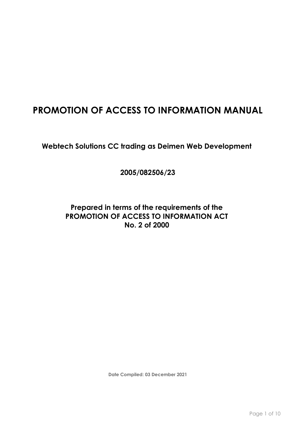# **PROMOTION OF ACCESS TO INFORMATION MANUAL**

**Webtech Solutions CC trading as Deimen Web Development** 

**2005/082506/23**

# **Prepared in terms of the requirements of the PROMOTION OF ACCESS TO INFORMATION ACT No. 2 of 2000**

**Date Compiled: 03 December 2021**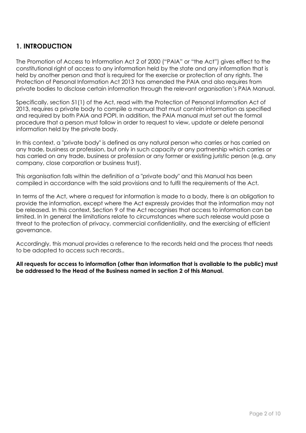# **1. INTRODUCTION**

The Promotion of Access to Information Act 2 of 2000 ("PAIA" or "the Act") gives effect to the constitutional right of access to any information held by the state and any information that is held by another person and that is required for the exercise or protection of any rights. The Protection of Personal Information Act 2013 has amended the PAIA and also requires from private bodies to disclose certain information through the relevant organisation's PAIA Manual.

Specifically, section 51(1) of the Act, read with the Protection of Personal Information Act of 2013, requires a private body to compile a manual that must contain information as specified and required by both PAIA and POPI. In addition, the PAIA manual must set out the formal procedure that a person must follow in order to request to view, update or delete personal information held by the private body.

In this context, a "private body" is defined as any natural person who carries or has carried on any trade, business or profession, but only in such capacity or any partnership which carries or has carried on any trade, business or profession or any former or existing juristic person (e.g. any company, close corporation or business trust).

This organisation falls within the definition of a "private body" and this Manual has been compiled in accordance with the said provisions and to fulfil the requirements of the Act.

In terms of the Act, where a request for information is made to a body, there is an obligation to provide the information, except where the Act expressly provides that the information may not be released. In this context, Section 9 of the Act recognises that access to information can be limited. In In general the limitations relate to circumstances where such release would pose a threat to the protection of privacy, commercial confidentiality, and the exercising of efficient governance.

Accordingly, this manual provides a reference to the records held and the process that needs to be adopted to access such records..

**All requests for access to information (other than information that is available to the public) must be addressed to the Head of the Business named in section 2 of this Manual.**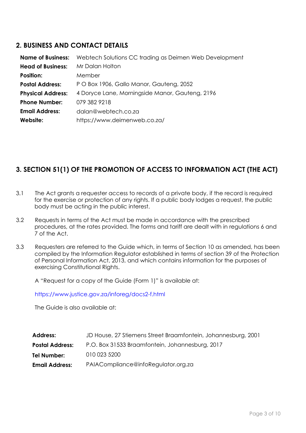### **2. BUSINESS AND CONTACT DETAILS**

| <b>Name of Business:</b> | Webtech Solutions CC trading as Deimen Web Development |
|--------------------------|--------------------------------------------------------|
| <b>Head of Business:</b> | Mr Dalan Holton                                        |
| <b>Position:</b>         | Member                                                 |
| <b>Postal Address:</b>   | P O Box 1906, Gallo Manor, Gauteng, 2052               |
| <b>Physical Address:</b> | 4 Doryce Lane, Morningside Manor, Gauteng, 2196        |
| <b>Phone Number:</b>     | 079 382 9218                                           |
| <b>Email Address:</b>    | dalan@webtech.co.za                                    |
| Website:                 | https://www.deimenweb.co.za/                           |

# **3. SECTION 51(1) OF THE PROMOTION OF ACCESS TO INFORMATION ACT (THE ACT)**

- 3.1 The Act grants a requester access to records of a private body, if the record is required for the exercise or protection of any rights. If a public body lodges a request, the public body must be acting in the public interest.
- 3.2 Requests in terms of the Act must be made in accordance with the prescribed procedures, at the rates provided. The forms and tariff are dealt with in regulations 6 and 7 of the Act.
- 3.3 Requesters are referred to the Guide which, in terms of Section 10 as amended, has been compiled by the Information Regulator established in terms of section 39 of the Protection of Personal Information Act, 2013, and which contains information for the purposes of exercising Constitutional Rights.

A "Request for a copy of the Guide (Form 1)" is available at:

<https://www.justice.gov.za/inforeg/docs2-f.html>

The Guide is also available at:

| JD House, 27 Stiemens Street Braamfontein, Johannesburg, 2001 |
|---------------------------------------------------------------|
| P.O. Box 31533 Braamfontein, Johannesburg, 2017               |
| 010 023 5200                                                  |
| PAIACompliance@infoRegulator.org.za                           |
|                                                               |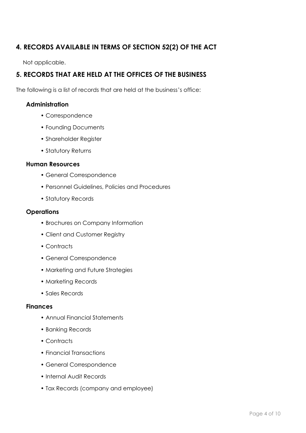# **4. RECORDS AVAILABLE IN TERMS OF SECTION 52(2) OF THE ACT**

Not applicable.

# **5. RECORDS THAT ARE HELD AT THE OFFICES OF THE BUSINESS**

The following is a list of records that are held at the business's office:

### **Administration**

- Correspondence
- Founding Documents
- Shareholder Register
- Statutory Returns

#### **Human Resources**

- General Correspondence
- Personnel Guidelines, Policies and Procedures
- Statutory Records

#### **Operations**

- Brochures on Company Information
- Client and Customer Registry
- Contracts
- General Correspondence
- Marketing and Future Strategies
- Marketing Records
- Sales Records

#### **Finances**

- Annual Financial Statements
- Banking Records
- Contracts
- Financial Transactions
- General Correspondence
- Internal Audit Records
- Tax Records (company and employee)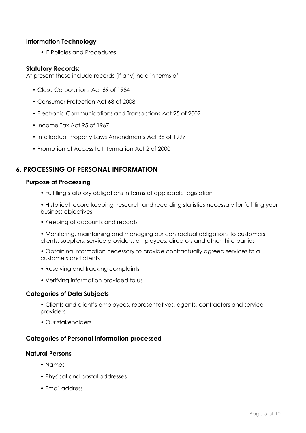#### **Information Technology**

• IT Policies and Procedures

#### **Statutory Records:**

At present these include records (if any) held in terms of:

- Close Corporations Act 69 of 1984
- Consumer Protection Act 68 of 2008
- Electronic Communications and Transactions Act 25 of 2002
- Income Tax Act 95 of 1967
- Intellectual Property Laws Amendments Act 38 of 1997
- Promotion of Access to Information Act 2 of 2000

### **6. PROCESSING OF PERSONAL INFORMATION**

#### **Purpose of Processing**

- Fulfilling statutory obligations in terms of applicable legislation
- Historical record keeping, research and recording statistics necessary for fulfilling your business objectives.
- Keeping of accounts and records
- Monitoring, maintaining and managing our contractual obligations to customers, clients, suppliers, service providers, employees, directors and other third parties
- Obtaining information necessary to provide contractually agreed services to a customers and clients
- Resolving and tracking complaints
- Verifying information provided to us

#### **Categories of Data Subjects**

- Clients and client's employees, representatives, agents, contractors and service providers
- Our stakeholders

#### **Categories of Personal Information processed**

#### **Natural Persons**

- Names
- Physical and postal addresses
- Email address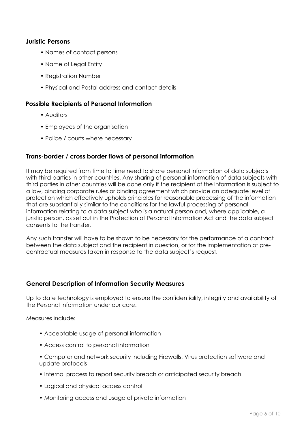#### **Juristic Persons**

- Names of contact persons
- Name of Legal Entity
- Registration Number
- Physical and Postal address and contact details

#### **Possible Recipients of Personal Information**

- Auditors
- Employees of the organisation
- Police / courts where necessary

#### **Trans-border / cross border flows of personal information**

It may be required from time to time need to share personal information of data subjects with third parties in other countries. Any sharing of personal information of data subjects with third parties in other countries will be done only if the recipient of the information is subject to a law, binding corporate rules or binding agreement which provide an adequate level of protection which effectively upholds principles for reasonable processing of the information that are substantially similar to the conditions for the lawful processing of personal information relating to a data subject who is a natural person and, where applicable, a juristic person, as set out in the Protection of Personal Information Act and the data subject consents to the transfer.

Any such transfer will have to be shown to be necessary for the performance of a contract between the data subject and the recipient in question, or for the implementation of precontractual measures taken in response to the data subject's request.

#### **General Description of Information Security Measures**

Up to date technology is employed to ensure the confidentiality, integrity and availability of the Personal Information under our care.

Measures include:

- Acceptable usage of personal information
- Access control to personal information
- Computer and network security including Firewalls, Virus protection software and update protocols
- Internal process to report security breach or anticipated security breach
- Logical and physical access control
- Monitoring access and usage of private information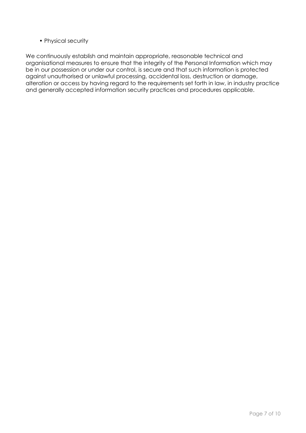• Physical security

We continuously establish and maintain appropriate, reasonable technical and organisational measures to ensure that the integrity of the Personal Information which may be in our possession or under our control, is secure and that such information is protected against unauthorised or unlawful processing, accidental loss, destruction or damage, alteration or access by having regard to the requirements set forth in law, in industry practice and generally accepted information security practices and procedures applicable.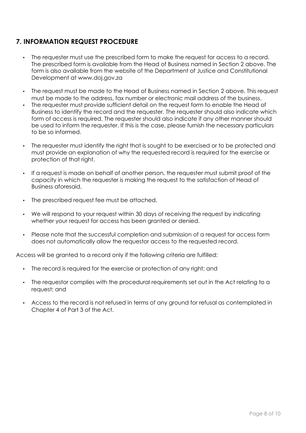# **7. INFORMATION REQUEST PROCEDURE**

- The requester must use the prescribed form to make the request for access to a record. The prescribed form is available from the Head of Business named in Section 2 above. The form is also available from the website of the Department of Justice and Constitutional Development at www.doj.gov.za
- The request must be made to the Head of Business named in Section 2 above. This request must be made to the address, fax number or electronic mail address of the business.
- The requester must provide sufficient detail on the request form to enable the Head of Business to identify the record and the requester. The requester should also indicate which form of access is required. The requester should also indicate if any other manner should be used to inform the requester. If this is the case, please furnish the necessary particulars to be so informed.
- The requester must identify the right that is sought to be exercised or to be protected and must provide an explanation of why the requested record is required for the exercise or protection of that right.
- If a request is made on behalf of another person, the requester must submit proof of the capacity in which the requester is making the request to the satisfaction of Head of Business aforesaid.
- The prescribed request fee must be attached.
- We will respond to your request within 30 days of receiving the request by indicating whether your request for access has been granted or denied.
- Please note that the successful completion and submission of a request for access form does not automatically allow the requestor access to the requested record.

Access will be granted to a record only if the following criteria are fulfilled:

- The record is required for the exercise or protection of any right; and
- The requestor complies with the procedural requirements set out in the Act relating to a request; and
- Access to the record is not refused in terms of any ground for refusal as contemplated in Chapter 4 of Part 3 of the Act.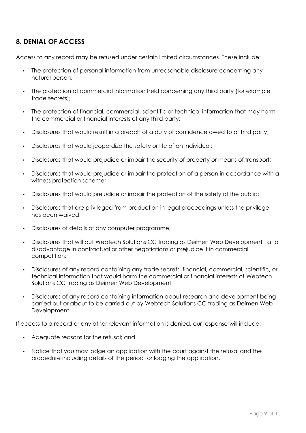### **8. DENIAL OF ACCESS**

Access to any record may be refused under certain limited circumstances. These include:

- The protection of personal information from unreasonable disclosure concerning any natural person;
- The protection of commercial information held concerning any third party (for example trade secrets);
- The protection of financial, commercial, scientific or technical information that may harm the commercial or financial interests of any third party;
- Disclosures that would result in a breach of a duty of confidence owed to a third party;
- Disclosures that would jeopardize the safety or life of an individual;
- Disclosures that would prejudice or impair the security of property or means of transport;
- Disclosures that would prejudice or impair the protection of a person in accordance with a witness protection scheme;
- Disclosures that would prejudice or impair the protection of the safety of the public;
- Disclosures that are privileged from production in legal proceedings unless the privilege has been waived;
- Disclosures of details of any computer programme;
- Disclosures that will put Webtech Solutions CC trading as Deimen Web Development at a disadvantage in contractual or other negotiations or prejudice it in commercial competition;
- Disclosures of any record containing any trade secrets, financial, commercial, scientific, or technical information that would harm the commercial or financial interests of Webtech Solutions CC trading as Deimen Web Development
- Disclosures of any record containing information about research and development being carried out or about to be carried out by Webtech Solutions CC trading as Deimen Web **Development**

If access to a record or any other relevant information is denied, our response will include:

- Adequate reasons for the refusal; and
- Notice that you may lodge an application with the court against the refusal and the procedure including details of the period for lodging the application.